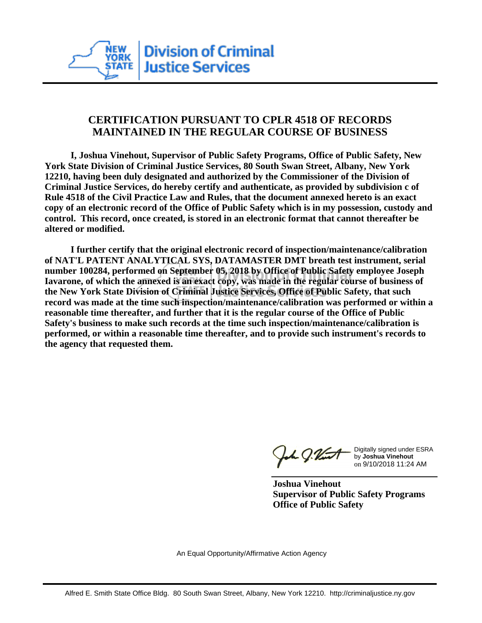

## **CERTIFICATION PURSUANT TO CPLR 4518 OF RECORDS MAINTAINED IN THE REGULAR COURSE OF BUSINESS**

 **I, Joshua Vinehout, Supervisor of Public Safety Programs, Office of Public Safety, New York State Division of Criminal Justice Services, 80 South Swan Street, Albany, New York 12210, having been duly designated and authorized by the Commissioner of the Division of Criminal Justice Services, do hereby certify and authenticate, as provided by subdivision c of Rule 4518 of the Civil Practice Law and Rules, that the document annexed hereto is an exact copy of an electronic record of the Office of Public Safety which is in my possession, custody and control. This record, once created, is stored in an electronic format that cannot thereafter be altered or modified.**

 **I further certify that the original electronic record of inspection/maintenance/calibration of NAT'L PATENT ANALYTICAL SYS, DATAMASTER DMT breath test instrument, serial number 100284, performed on September 05, 2018 by Office of Public Safety employee Joseph Iavarone, of which the annexed is an exact copy, was made in the regular course of business of the New York State Division of Criminal Justice Services, Office of Public Safety, that such record was made at the time such inspection/maintenance/calibration was performed or within a reasonable time thereafter, and further that it is the regular course of the Office of Public Safety's business to make such records at the time such inspection/maintenance/calibration is performed, or within a reasonable time thereafter, and to provide such instrument's records to the agency that requested them.**

h J.Vint

Digitally signed under ESRA by **Joshua Vinehout** on 9/10/2018 11:24 AM

**Joshua Vinehout Supervisor of Public Safety Programs Office of Public Safety**

An Equal Opportunity/Affirmative Action Agency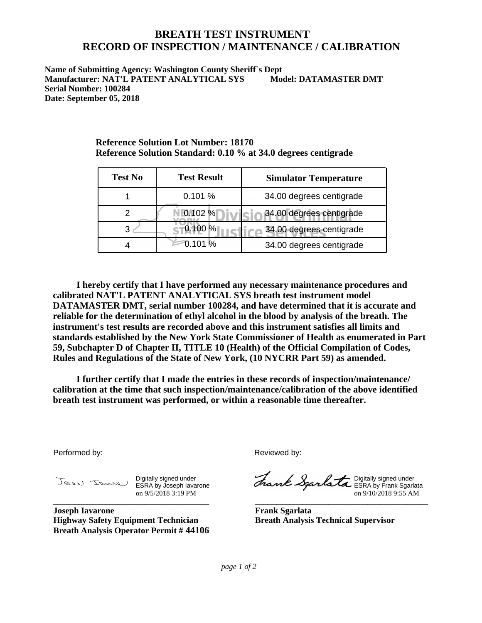## **BREATH TEST INSTRUMENT RECORD OF INSPECTION / MAINTENANCE / CALIBRATION**

**Name of Submitting Agency: Washington County Sheriff`s Dept Manufacturer: NAT'L PATENT ANALYTICAL SYS Model: DATAMASTER DMT Serial Number: 100284 Date: September 05, 2018**

**Reference Solution Standard: 0.10 % at 34.0 degrees centigrade**

**Reference Solution Lot Number: 18170**

| <b>Test No</b> | <b>Test Result</b> | <b>Simulator Temperature</b> |
|----------------|--------------------|------------------------------|
|                | 0.101%             | 34.00 degrees centigrade     |
|                | 0.102%             | 34.00 degrees centigrade     |
|                | 0.100 %            | 34.00 degrees centigrade     |
|                | 0.101 %            | 34.00 degrees centigrade     |

 **I hereby certify that I have performed any necessary maintenance procedures and calibrated NAT'L PATENT ANALYTICAL SYS breath test instrument model DATAMASTER DMT, serial number 100284, and have determined that it is accurate and reliable for the determination of ethyl alcohol in the blood by analysis of the breath. The instrument's test results are recorded above and this instrument satisfies all limits and standards established by the New York State Commissioner of Health as enumerated in Part 59, Subchapter D of Chapter II, TITLE 10 (Health) of the Official Compilation of Codes, Rules and Regulations of the State of New York, (10 NYCRR Part 59) as amended.**

 **I further certify that I made the entries in these records of inspection/maintenance/ calibration at the time that such inspection/maintenance/calibration of the above identified breath test instrument was performed, or within a reasonable time thereafter.**

Performed by:

Digitally signed under ESRA by Joseph Iavarone on 9/5/2018 3:19 PM **\_\_\_\_\_\_\_\_\_\_\_\_\_\_\_\_\_\_\_\_\_\_\_\_\_\_\_\_\_\_\_\_\_\_\_\_**

**Joseph Iavarone Highway Safety Equipment Technician Breath Analysis Operator Permit # 44106** Reviewed by:

Digitally signed under ESRA by Frank Sgarlata on 9/10/2018 9:55 AM

**\_\_\_\_\_\_\_\_\_\_\_\_\_\_\_\_\_\_\_\_\_\_\_\_\_\_\_\_\_\_\_\_\_\_\_\_\_\_\_\_**

**Frank Sgarlata Breath Analysis Technical Supervisor**